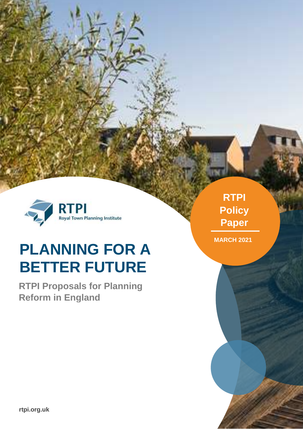

# **PLANNING FOR A BETTER FUTURE**

**RTPI Proposals for Planning Reform in England**

**RTPI Policy Paper**

**MARCH 2021**

**MAY 2018**

**rtpi.org.uk**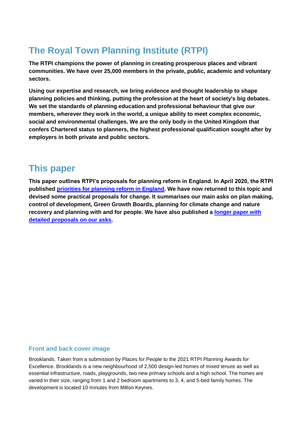#### **The Royal Town Planning Institute (RTPI)**

**The RTPI champions the power of planning in creating prosperous places and vibrant communities. We have over 25,000 members in the private, public, academic and voluntary sectors.** 

**Using our expertise and research, we bring evidence and thought leadership to shape planning policies and thinking, putting the profession at the heart of society's big debates. We set the standards of planning education and professional behaviour that give our members, wherever they work in the world, a unique ability to meet complex economic, social and environmental challenges. We are the only body in the United Kingdom that confers Chartered status to planners, the highest professional qualification sought after by employers in both private and public sectors.**

#### **This paper**

**This paper outlines RTPI's proposals for planning reform in England. In April 2020, the RTPI published [priorities for planning reform in England.](https://www.rtpi.org.uk/policy/2020/april/priorities-for-planning-reform-in-england/) We have now returned to this topic and devised some practical proposals for change. It summarises our main asks on plan making, control of development, Green Growth Boards, planning for climate change and nature recovery and planning with and for people. We have also published a [longer paper with](https://www.rtpi.org.uk/policy-and-research/planning-for-a-better-future/)  [detailed proposals on our asks.](https://www.rtpi.org.uk/policy-and-research/planning-for-a-better-future/)** 

#### **Front and back cover image**

Brooklands. Taken from a submission by Places for People to the 2021 RTPI Planning Awards for Excellence. Brooklands is a new neighbourhood of 2,500 design-led homes of mixed tenure as well as essential infrastructure, roads, playgrounds, two new primary schools and a high school. The homes are varied in their size, ranging from 1 and 2 bedroom apartments to 3, 4, and 5-bed family homes. The development is located 10 minutes from Milton Keynes.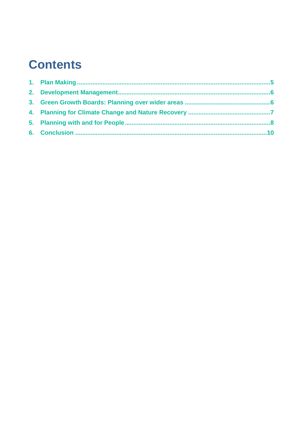#### **Contents**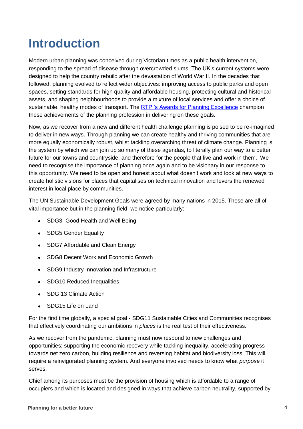### **Introduction**

Modern urban planning was conceived during Victorian times as a public health intervention, responding to the spread of disease through overcrowded slums. The UK's current systems were designed to help the country rebuild after the devastation of World War II. In the decades that followed, planning evolved to reflect wider objectives: improving access to public parks and open spaces, setting standards for high quality and affordable housing, protecting cultural and historical assets, and shaping neighbourhoods to provide a mixture of local services and offer a choice of sustainable, healthy modes of transport. The [RTPI's Awards for Planning Excellence](RTPI%20Awards%20for%20Planning%20Excellence) champion these achievements of the planning profession in delivering on these goals.

Now, as we recover from a new and different health challenge planning is poised to be re-imagined to deliver in new ways. Through planning we can create healthy and thriving communities that are more equally economically robust, whilst tackling overarching threat of climate change. Planning is the system by which we can join up so many of these agendas, to literally plan our way to a better future for our towns and countryside, and therefore for the people that live and work in them. We need to recognise the importance of planning once again and to be visionary in our response to this opportunity. We need to be open and honest about what doesn't work and look at new ways to create holistic visions for places that capitalises on technical innovation and levers the renewed interest in local place by communities.

The UN Sustainable Development Goals were agreed by many nations in 2015. These are all of vital importance but in the planning field, we notice particularly:

- SDG3 Good Health and Well Being
- SDG5 Gender Equality
- SDG7 Affordable and Clean Energy
- SDG8 Decent Work and Economic Growth
- SDG9 Industry Innovation and Infrastructure
- SDG10 Reduced Inequalities
- SDG 13 Climate Action
- SDG15 Life on Land

For the first time globally, a special goal - SDG11 Sustainable Cities and Communities recognises that effectively coordinating our ambitions in *places* is the real test of their effectiveness.

As we recover from the pandemic, planning must now respond to new challenges and opportunities: supporting the economic recovery while tackling inequality, accelerating progress towards net zero carbon, building resilience and reversing habitat and biodiversity loss. This will require a reinvigorated planning system. And everyone involved needs to know what *purpose* it serves.

Chief among its purposes must be the provision of housing which is affordable to a range of occupiers and which is located and designed in ways that achieve carbon neutrality, supported by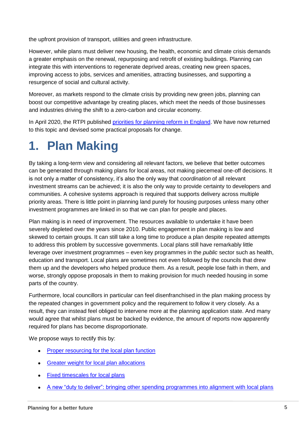the upfront provision of transport, utilities and green infrastructure.

However, while plans must deliver new housing, the health, economic and climate crisis demands a greater emphasis on the renewal, repurposing and retrofit of existing buildings. Planning can integrate this with interventions to regenerate deprived areas, creating new green spaces, improving access to jobs, services and amenities, attracting businesses, and supporting a resurgence of social and cultural activity.

Moreover, as markets respond to the climate crisis by providing new green jobs, planning can boost our competitive advantage by creating places, which meet the needs of those businesses and industries driving the shift to a zero-carbon and circular economy.

In April 2020, the RTPI published [priorities for planning reform in England.](https://www.rtpi.org.uk/policy/2020/april/priorities-for-planning-reform-in-england/) We have now returned to this topic and devised some practical proposals for change.

### <span id="page-4-0"></span>**1. Plan Making**

By taking a long-term view and considering all relevant factors, we believe that better outcomes can be generated through making plans for local areas, not making piecemeal one-off decisions. It is not only a matter of consistency, it's also the only way that *coordination* of all relevant investment streams can be achieved; it is also the only way to provide certainty to developers and communities. A cohesive systems approach is required that supports delivery across multiple priority areas. There is little point in planning land purely for housing purposes unless many other investment programmes are linked in so that we can plan for people and places.

Plan making is in need of improvement. The resources available to undertake it have been severely depleted over the years since 2010. Public engagement in plan making is low and skewed to certain groups. It can still take a long time to produce a plan despite repeated attempts to address this problem by successive governments. Local plans still have remarkably little leverage over investment programmes – even key programmes in the *public* sector such as health, education and transport. Local plans are sometimes not even followed by the councils that drew them up and the developers who helped produce them. As a result, people lose faith in them, and worse, strongly oppose proposals in them to making provision for much needed housing in some parts of the country.

Furthermore, local councillors in particular can feel disenfranchised in the plan making process by the repeated changes in government policy and the requirement to follow it very closely. As a result, they can instead feel obliged to intervene more at the planning application state. And many would agree that whilst plans must be backed by evidence, the amount of reports now apparently required for plans has become disproportionate.

We propose ways to rectify this by:

- [Proper resourcing for the local plan function](https://www.rtpi.org.uk/policy-and-research/planning-for-a-better-future/#M-1.1)
- **[Greater weight for local plan allocations](https://www.rtpi.org.uk/policy-and-research/planning-for-a-better-future/#M-1.2)**
- [Fixed timescales for local plans](https://www.rtpi.org.uk/policy-and-research/planning-for-a-better-future/#M-1.3)
- [A new "duty to deliver": bringing other spending programmes into alignment with local plans](https://www.rtpi.org.uk/policy-and-research/planning-for-a-better-future/#M-1.4)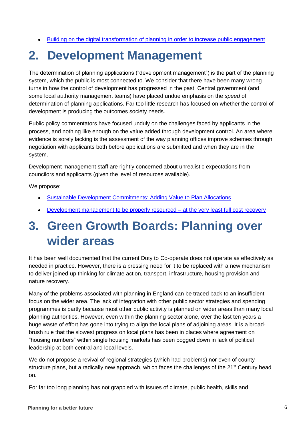[Building on the digital transformation of planning in order to increase public engagement](https://www.rtpi.org.uk/policy-and-research/planning-for-a-better-future/#M-1.5)

### <span id="page-5-0"></span>**2. Development Management**

The determination of planning applications ("development management") is the part of the planning system, which the public is most connected to. We consider that there have been many wrong turns in how the control of development has progressed in the past. Central government (and some local authority management teams) have placed undue emphasis on the *speed* of determination of planning applications. Far too little research has focused on whether the control of development is producing the outcomes society needs.

Public policy commentators have focused unduly on the challenges faced by applicants in the process, and nothing like enough on the value added through development control. An area where evidence is sorely lacking is the assessment of the way planning offices improve schemes through negotiation with applicants both before applications are submitted and when they are in the system.

Development management staff are rightly concerned about unrealistic expectations from councilors and applicants (given the level of resources available).

We propose:

- **[Sustainable Development Commitments: Adding Value to Plan Allocations](https://www.rtpi.org.uk/policy-and-research/planning-for-a-better-future/#M-2.1)**
- $\bullet$  Development management to be properly resourced  $-\underline{\mathsf{at}}$  the very least full cost recovery

### <span id="page-5-1"></span>**3. Green Growth Boards: Planning over wider areas**

It has been well documented that the current Duty to Co-operate does not operate as effectively as needed in practice. However, there is a pressing need for it to be replaced with a new mechanism to deliver joined-up thinking for climate action, transport, infrastructure, housing provision and nature recovery.

Many of the problems associated with planning in England can be traced back to an insufficient focus on the wider area. The lack of integration with other public sector strategies and spending programmes is partly because most other public activity is planned on wider areas than many local planning authorities. However, even within the planning sector alone, over the last ten years a huge waste of effort has gone into trying to align the local plans of adjoining areas. It is a broadbrush rule that the slowest progress on local plans has been in places where agreement on "housing numbers" within single housing markets has been bogged down in lack of political leadership at both central and local levels.

We do not propose a revival of regional strategies (which had problems) nor even of county structure plans, but a radically new approach, which faces the challenges of the 21<sup>st</sup> Century head on.

For far too long planning has not grappled with issues of climate, public health, skills and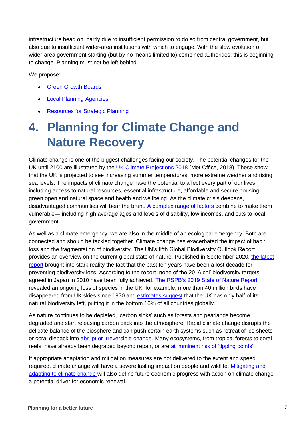infrastructure head on, partly due to insufficient permission to do so from central government, but also due to insufficient wider-area institutions with which to engage. With the slow evolution of wider-area government starting (but by no means limited to) combined authorities, this is beginning to change. Planning must not be left behind.

We propose:

- [Green Growth Boards](https://www.rtpi.org.uk/policy-and-research/planning-for-a-better-future/#M-3.1)
- [Local Planning Agencies](https://www.rtpi.org.uk/policy-and-research/planning-for-a-better-future/#M-3.2)
- [Resources for Strategic Planning](https://www.rtpi.org.uk/policy-and-research/planning-for-a-better-future/#M-3.3)

### <span id="page-6-0"></span>**4. Planning for Climate Change and Nature Recovery**

Climate change is one of the biggest challenges facing our society. The potential changes for the UK until 2100 are illustrated by the [UK Climate Projections 2018](http://bit.ly/3nApkv8) (Met Office, 2018). These show that the UK is projected to see increasing summer temperatures, more extreme weather and rising sea levels. The impacts of climate change have the potential to affect every part of our lives, including access to natural resources, essential infrastructure, affordable and secure housing, green open and natural space and health and wellbeing. As the climate crisis deepens, disadvantaged communities will bear the brunt. [A complex range of factors](https://www.rtpi.org.uk/research/2020/january/five-reasons-for-climate-justice-in-spatial-planning/) combine to make them vulnerable— including high average ages and levels of disability, low incomes, and cuts to local government.

As well as a climate emergency, we are also in the middle of an ecological emergency. Both are connected and should be tackled together. Climate change has exacerbated the impact of habit loss and the fragmentation of biodiversity. The UN's fifth Global Biodiversity Outlook Report provides an overview on the current global state of nature. Published in September 2020, [the latest](http://bit.ly/3oMvTeV)  [report](http://bit.ly/3oMvTeV) brought into stark reality the fact that the past ten years have been a lost decade for preventing biodiversity loss. According to the report, none of the 20 'Aichi' biodiversity targets agreed in Japan in 2010 have been fully achieved. [The RSPB's 2019 State of Nature Report](http://bit.ly/3oMvTeV) revealed an ongoing loss of species in the UK, for example, more than 40 million birds have disappeared from UK skies since 1970 and [estimates suggest](http://bit.ly/3oM2qld) that the UK has only half of its natural biodiversity left, putting it in the bottom 10% of all countries globally.

As nature continues to be depleted, 'carbon sinks' such as forests and peatlands become degraded and start releasing carbon back into the atmosphere. Rapid climate change disrupts the delicate balance of the biosphere and can push certain earth systems such as retreat of ice sheets or coral dieback into [abrupt or irreversible](http://bit.ly/2YIJycb) change. Many ecosystems, from tropical forests to coral reefs, have already been degraded beyond repair, or are [at imminent risk of 'tipping points'.](http://bit.ly/3pRMdfF)

If appropriate adaptation and mitigation measures are not delivered to the extent and speed required, climate change will have a severe lasting impact on people and wildlife. [Mitigating and](https://www.rtpi.org.uk/practice/2019/september/rising-to-the-climate-crisis-a-guide-for-local-authorities-on-planning-for-climate-change/)  [adapting to climate change](https://www.rtpi.org.uk/practice/2019/september/rising-to-the-climate-crisis-a-guide-for-local-authorities-on-planning-for-climate-change/) will also define future economic progress with action on climate change a potential driver for economic renewal.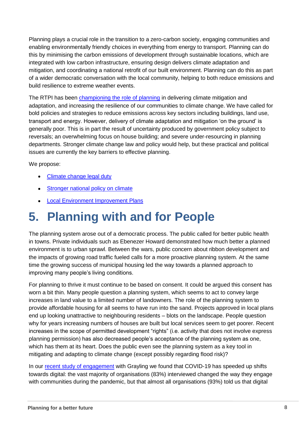Planning plays a crucial role in the transition to a zero-carbon society, engaging communities and enabling environmentally friendly choices in everything from energy to transport. Planning can do this by minimising the carbon emissions of development through sustainable locations, which are integrated with low carbon infrastructure, ensuring design delivers climate adaptation and mitigation, and coordinating a national retrofit of our built environment. Planning can do this as part of a wider democratic conversation with the local community, helping to both reduce emissions and build resilience to extreme weather events.

The RTPI has been [championing the role of planning](https://www.rtpi.org.uk/practice/2019/september/rising-to-the-climate-crisis-a-guide-for-local-authorities-on-planning-for-climate-change/) in delivering climate mitigation and adaptation, and increasing the resilience of our communities to climate change. We have called for bold policies and strategies to reduce emissions across key sectors including buildings, land use, transport and energy. However, delivery of climate adaptation and mitigation 'on the ground' is generally poor. This is in part the result of uncertainty produced by government policy subject to reversals; an overwhelming focus on house building; and severe under-resourcing in planning departments. Stronger climate change law and policy would help, but these practical and political issues are currently the key barriers to effective planning.

We propose:

- [Climate change legal duty](https://www.rtpi.org.uk/policy-and-research/planning-for-a-better-future/#M-4.1)
- [Stronger national policy on climate](https://www.rtpi.org.uk/policy-and-research/planning-for-a-better-future/#M-4.2)
- [Local Environment Improvement Plans](https://www.rtpi.org.uk/policy-and-research/planning-for-a-better-future/#M-4.3)

### <span id="page-7-0"></span>**5. Planning with and for People**

The planning system arose out of a democratic process. The public called for better public health in towns. Private individuals such as Ebenezer Howard demonstrated how much better a planned environment is to urban sprawl. Between the wars, public concern about ribbon development and the impacts of growing road traffic fueled calls for a more proactive planning system. At the same time the growing success of municipal housing led the way towards a planned approach to improving many people's living conditions.

For planning to thrive it must continue to be based on consent. It could be argued this consent has worn a bit thin. Many people question a planning system, which seems to act to convey large increases in land value to a limited number of landowners. The role of the planning system to provide affordable housing for all seems to have run into the sand. Projects approved in local plans end up looking unattractive to neighbouring residents – blots on the landscape. People question why for years increasing numbers of houses are built but local services seem to get poorer. Recent increases in the scope of permitted development "rights" (i.e. activity that does not involve express planning permission) has also decreased people's acceptance of the planning system as one, which has them at its heart. Does the public even see the planning system as a key tool in mitigating and adapting to climate change (except possibly regarding flood risk)?

In our [recent study of engagement](https://www.rtpi.org.uk/research/2020/december/the-future-of-engagement/) with Grayling we found that COVID-19 has speeded up shifts towards digital: the vast majority of organisations (83%) interviewed changed the way they engage with communities during the pandemic, but that almost all organisations (93%) told us that digital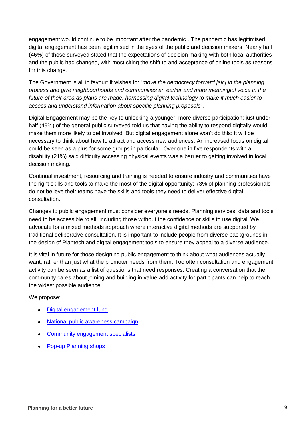engagement would continue to be important after the pandemic<sup>1</sup>. The pandemic has legitimised digital engagement has been legitimised in the eyes of the public and decision makers. Nearly half (46%) of those surveyed stated that the expectations of decision making with both local authorities and the public had changed, with most citing the shift to and acceptance of online tools as reasons for this change.

The Government is all in favour: it wishes to: "*move the democracy forward [sic] in the planning process and give neighbourhoods and communities an earlier and more meaningful voice in the future of their area as plans are made, harnessing digital technology to make it much easier to access and understand information about specific planning proposals*".

Digital Engagement may be the key to unlocking a younger, more diverse participation: just under half (49%) of the general public surveyed told us that having the ability to respond digitally would make them more likely to get involved. But digital engagement alone won't do this: it will be necessary to think about how to attract and access new audiences. An increased focus on digital could be seen as a plus for some groups in particular. Over one in five respondents with a disability (21%) said difficulty accessing physical events was a barrier to getting involved in local decision making.

Continual investment, resourcing and training is needed to ensure industry and communities have the right skills and tools to make the most of the digital opportunity: 73% of planning professionals do not believe their teams have the skills and tools they need to deliver effective digital consultation.

Changes to public engagement must consider everyone's needs. Planning services, data and tools need to be accessible to all, including those without the confidence or skills to use digital. We advocate for a mixed methods approach where interactive digital methods are supported by traditional deliberative consultation. It is important to include people from diverse backgrounds in the design of Plantech and digital engagement tools to ensure they appeal to a diverse audience.

It is vital in future for those designing public engagement to think about what audiences actually want, rather than just what the promoter needs from them**.** Too often consultation and engagement activity can be seen as a list of questions that need responses. Creating a conversation that the community cares about joining and building in value-add activity for participants can help to reach the widest possible audience.

We propose:

 $\overline{a}$ 

- [Digital engagement fund](https://www.rtpi.org.uk/policy-and-research/planning-for-a-better-future/#M-5.1)
- [National public awareness campaign](https://www.rtpi.org.uk/policy-and-research/planning-for-a-better-future/#M-5.2)
- [Community engagement specialists](https://www.rtpi.org.uk/policy-and-research/planning-for-a-better-future/#M-5.3)
- [Pop-up Planning shops](https://www.rtpi.org.uk/policy-and-research/planning-for-a-better-future/#M-5.4)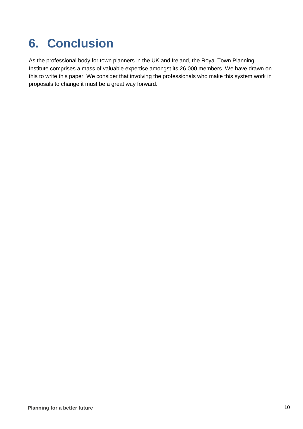## <span id="page-9-0"></span>**6. Conclusion**

As the professional body for town planners in the UK and Ireland, the Royal Town Planning Institute comprises a mass of valuable expertise amongst its 26,000 members. We have drawn on this to write this paper. We consider that involving the professionals who make this system work in proposals to change it must be a great way forward.